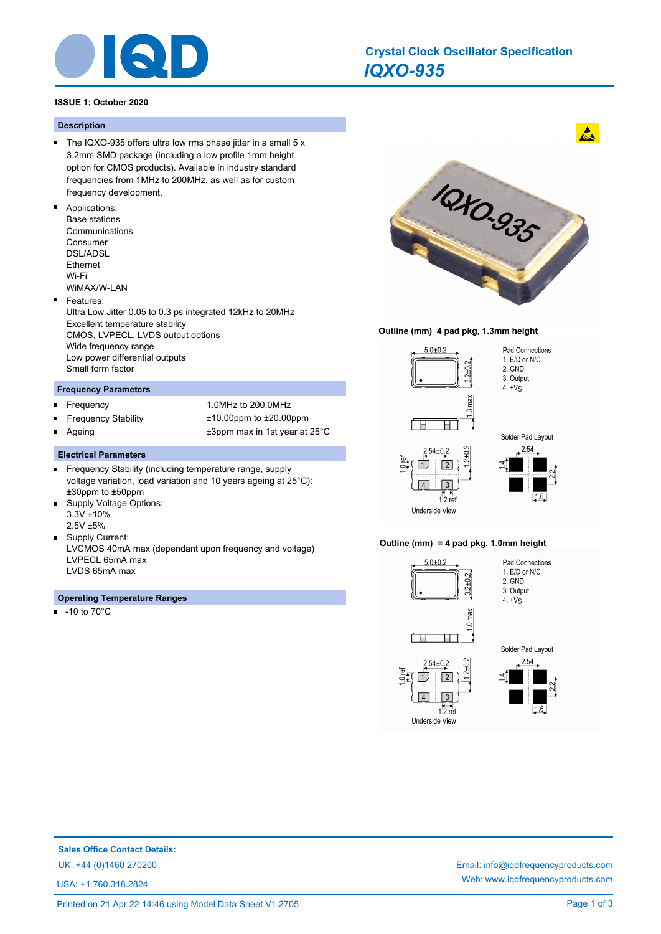

## *IQXO-935* **Crystal Clock Oscillator Specification**

#### **ISSUE 1; October 2020**

#### **Description**

- The IQXO-935 offers ultra low rms phase jitter in a small  $5x$ 3.2mm SMD package (including a low profile 1mm height option for CMOS products). Available in industry standard frequencies from 1MHz to 200MHz, as well as for custom frequency development.
- Applications: Base stations Communications Consumer DSL/ADSL Ethernet Wi-Fi

WiMAX/W-LAN

 $\blacksquare$ Features:

Ultra Low Jitter 0.05 to 0.3 ps integrated 12kHz to 20MHz Excellent temperature stability CMOS, LVPECL, LVDS output options Wide frequency range Low power differential outputs Small form factor

#### **Frequency Parameters**

- Frequency 1.0MHz to 200.0MHz Ē
- Frequency Stability ±10.00ppm to ±20.00ppm
- 

Ageing the state of the support of the state of the state of the state of the state of the state of the state o

#### **Electrical Parameters**

- Frequency Stability (including temperature range, supply  $\blacksquare$ voltage variation, load variation and 10 years ageing at 25°C): ±30ppm to ±50ppm
- $\blacksquare$ Supply Voltage Options: 3.3V ±10% 2.5V ±5%
- Supply Current: LVCMOS 40mA max (dependant upon frequency and voltage) LVPECL 65mA max LVDS 65mA max

#### **Operating Temperature Ranges**

-10 to 70°C m.



#### **Outline (mm) 4 pad pkg, 1.3mm height**







# **Sales Office Contact Details:**

USA: +1.760.318.2824

UK: +44 (0)1460 270200 Email: info@iqdfrequencyproducts.com Web: www.iqdfrequencyproducts.com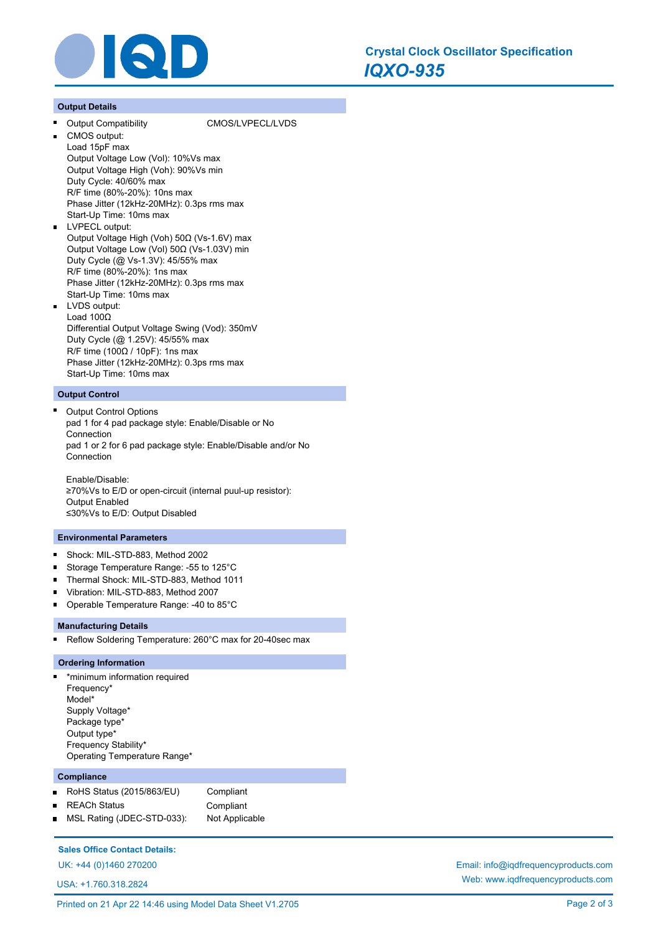

#### **Output Details**

#### Output Compatibility CMOS/LVPECL/LVDS

- CMOS output: Load 15pF max Output Voltage Low (Vol): 10%Vs max Output Voltage High (Voh): 90%Vs min Duty Cycle: 40/60% max R/F time (80%-20%): 10ns max Phase Jitter (12kHz-20MHz): 0.3ps rms max Start-Up Time: 10ms max
- $\blacksquare$ LVPECL output: Output Voltage High (Voh) 50Ω (Vs-1.6V) max Output Voltage Low (Vol) 50Ω (Vs-1.03V) min Duty Cycle (@ Vs-1.3V): 45/55% max R/F time (80%-20%): 1ns max Phase Jitter (12kHz-20MHz): 0.3ps rms max Start-Up Time: 10ms max LVDS output: Load 100Ω Differential Output Voltage Swing (Vod): 350mV
	- Duty Cycle (@ 1.25V): 45/55% max R/F time (100Ω / 10pF): 1ns max Phase Jitter (12kHz-20MHz): 0.3ps rms max Start-Up Time: 10ms max

#### **Output Control**

Output Control Options pad 1 for 4 pad package style: Enable/Disable or No Connection pad 1 or 2 for 6 pad package style: Enable/Disable and/or No Connection

Enable/Disable: ≥70%Vs to E/D or open-circuit (internal puul-up resistor): Output Enabled ≤30%Vs to E/D: Output Disabled

#### **Environmental Parameters**

- Shock: MIL-STD-883, Method 2002  $\blacksquare$
- Storage Temperature Range: -55 to 125°C
- Thermal Shock: MIL-STD-883, Method 1011
- Vibration: MIL-STD-883, Method 2007
- Operable Temperature Range: -40 to 85°C

#### **Manufacturing Details**

Reflow Soldering Temperature: 260°C max for 20-40sec max

#### **Ordering Information**

\*minimum information required Frequency\* Model\* Supply Voltage\* Package type\* Output type\* Frequency Stability\* Operating Temperature Range\*

#### **Compliance**

RoHS Status (2015/863/EU) Compliant  $\blacksquare$ REACh Status **Compliant** MSL Rating (JDEC-STD-033): Not Applicable  $\blacksquare$ 

#### **Sales Office Contact Details:**

UK: +44 (0)1460 270200 Email: info@iqdfrequencyproducts.com

USA: +1.760.318.2824

Web: www.iqdfrequencyproducts.com